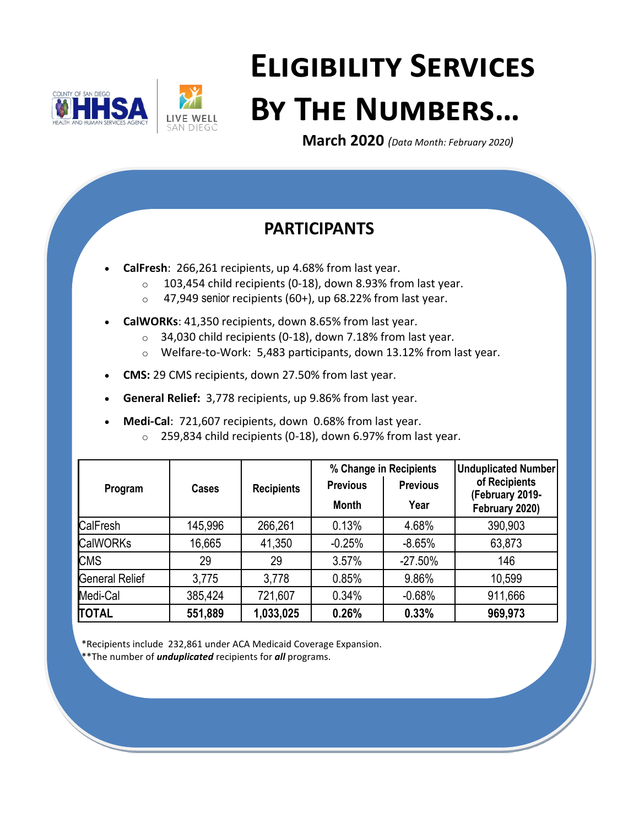



# **Eligibility Services By The Numbers…**

**March 2020** *(Data Month: February 2020)*

# **PARTICIPANTS**

- **CalFresh**: 266,261 recipients, up 4.68% from last year.
	- $\circ$  103,454 child recipients (0-18), down 8.93% from last year.
	- $\circ$  47,949 senior recipients (60+), up 68.22% from last year.
- **CalWORKs**: 41,350 recipients, down 8.65% from last year.
	- $\circ$  34,030 child recipients (0-18), down 7.18% from last year.
	- o Welfare-to-Work: 5,483 participants, down 13.12% from last year.
- **CMS:** 29 CMS recipients, down 27.50% from last year.
- **General Relief:** 3,778 recipients, up 9.86% from last year.
- **Medi-Cal**: 721,607 recipients, down 0.68% from last year.
	- o 259,834 child recipients (0-18), down 6.97% from last year.

| Program               | <b>Cases</b> | <b>Recipients</b> | <b>Previous</b><br><b>Month</b> | % Change in Recipients<br><b>Previous</b><br>Year | <b>Unduplicated Number</b><br>of Recipients<br>(February 2019-<br>February 2020) |
|-----------------------|--------------|-------------------|---------------------------------|---------------------------------------------------|----------------------------------------------------------------------------------|
| CalFresh              | 145,996      | 266,261           | 0.13%                           | 4.68%                                             | 390,903                                                                          |
| <b>CalWORKs</b>       | 16,665       | 41,350            | $-0.25%$                        | $-8.65%$                                          | 63,873                                                                           |
| <b>CMS</b>            | 29           | 29                | 3.57%                           | $-27.50%$                                         | 146                                                                              |
| <b>General Relief</b> | 3,775        | 3,778             | 0.85%                           | 9.86%                                             | 10,599                                                                           |
| Medi-Cal              | 385,424      | 721,607           | 0.34%                           | $-0.68%$                                          | 911,666                                                                          |
| <b>TOTAL</b>          | 551,889      | 1,033,025         | 0.26%                           | 0.33%                                             | 969,973                                                                          |

\*Recipients include 232,861 under ACA Medicaid Coverage Expansion.

\*\*The number of *unduplicated* recipients for *all* programs.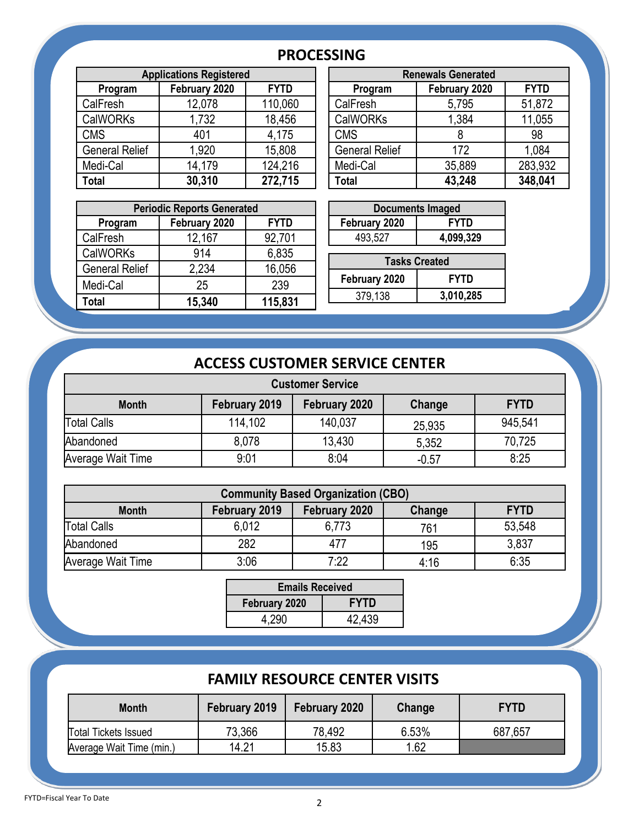### **PROCESSING**

| <b>Applications Registered</b> |               |             |                       | <b>Renewals Generated</b> |             |
|--------------------------------|---------------|-------------|-----------------------|---------------------------|-------------|
| Program                        | February 2020 | <b>FYTD</b> | Program               | February 2020             | <b>FYTD</b> |
| CalFresh                       | 12,078        | 110,060     | CalFresh              | 5,795                     | 51,872      |
| <b>CalWORKs</b>                | 1,732         | 18,456      | <b>CalWORKs</b>       | 1,384                     | 11,055      |
| <b>CMS</b>                     | 401           | 4,175       | <b>CMS</b>            |                           | 98          |
| <b>General Relief</b>          | 1,920         | 15,808      | <b>General Relief</b> | 172                       | 1,084       |
| Medi-Cal                       | 14,179        | 124,216     | Medi-Cal              | 35,889                    | 283,932     |
| <b>Total</b>                   | 30,310        | 272,715     | Total                 | 43,248                    | 348,041     |

| <b>Applications Registered</b> |               |             |  | <b>Renewals Generated</b> |               |             |  |
|--------------------------------|---------------|-------------|--|---------------------------|---------------|-------------|--|
| Program                        | February 2020 | <b>FYTD</b> |  | Program                   | February 2020 | <b>FYTD</b> |  |
| Fresh                          | 12,078        | 110,060     |  | CalFresh                  | 5,795         | 51,872      |  |
| WORKs                          | 1,732         | 18,456      |  | <b>CalWORKs</b>           | 1,384         | 11,055      |  |
| S                              | 401           | 4,175       |  | <b>CMS</b>                |               | 98          |  |
| าeral Relief                   | 1,920         | 15,808      |  | <b>General Relief</b>     | 172           | 1,084       |  |
| di-Cal                         | 14,179        | 124,216     |  | Medi-Cal                  | 35,889        | 283,932     |  |
|                                | 30,310        | 272,715     |  | Total                     | 43,248        | 348,041     |  |
|                                |               |             |  |                           |               |             |  |

| <b>Periodic Reports Generated</b> |               |             |  | <b>Documents Imaged</b> |             |
|-----------------------------------|---------------|-------------|--|-------------------------|-------------|
| Program                           | February 2020 | <b>FYTD</b> |  | February 2020           | <b>FYTD</b> |
| CalFresh                          | 12,167        | 92,701      |  | 493,527                 | 4,099,329   |
| <b>CalWORKs</b>                   | 914           | 6,835       |  | <b>Tasks Created</b>    |             |
| <b>General Relief</b>             | 2,234         | 16,056      |  |                         |             |
| Medi-Cal                          | 25            | 239         |  | February 2020           | <b>FYTD</b> |
| <b>Total</b>                      | 15,340        | 115,831     |  | 379,138                 | 3,010,285   |
|                                   |               |             |  |                         |             |

| <b>Documents Imaged</b>      |             |  |  |  |
|------------------------------|-------------|--|--|--|
| February 2020<br><b>FYTD</b> |             |  |  |  |
| 493,527                      | 4,099,329   |  |  |  |
|                              |             |  |  |  |
| <b>Tasks Created</b>         |             |  |  |  |
|                              |             |  |  |  |
| February 2020                | <b>FYTD</b> |  |  |  |

## **ACCESS CUSTOMER SERVICE CENTER**

| <b>Customer Service</b> |               |               |         |             |  |  |
|-------------------------|---------------|---------------|---------|-------------|--|--|
| <b>Month</b>            | February 2019 | February 2020 | Change  | <b>FYTD</b> |  |  |
| Total Calls             | 114,102       | 140,037       | 25,935  | 945,541     |  |  |
| Abandoned               | 8,078         | 13,430        | 5,352   | 70,725      |  |  |
| Average Wait Time       | 9:01          | 8:04          | $-0.57$ | 8:25        |  |  |

| <b>Community Based Organization (CBO)</b>                               |       |       |      |        |  |  |
|-------------------------------------------------------------------------|-------|-------|------|--------|--|--|
| February 2019<br><b>FYTD</b><br><b>Month</b><br>Change<br>February 2020 |       |       |      |        |  |  |
| <b>Total Calls</b>                                                      | 6,012 | 6,773 | 761  | 53,548 |  |  |
| Abandoned                                                               | 282   | 477   | 195  | 3,837  |  |  |
| Average Wait Time                                                       | 3:06  | 7.22  | 4:16 | 6:35   |  |  |

| <b>Emails Received</b>       |        |  |  |  |
|------------------------------|--------|--|--|--|
| <b>FYTD</b><br>February 2020 |        |  |  |  |
| 4.290                        | 42,439 |  |  |  |

## **FAMILY RESOURCE CENTER VISITS**

| <b>Month</b>                | February 2019 | February 2020 | Change | <b>FYTD</b> |
|-----------------------------|---------------|---------------|--------|-------------|
| <b>Total Tickets Issued</b> | 73,366        | 78,492        | 6.53%  | 687,657     |
| Average Wait Time (min.)    | 14.21         | 15.83         | 1.62   |             |